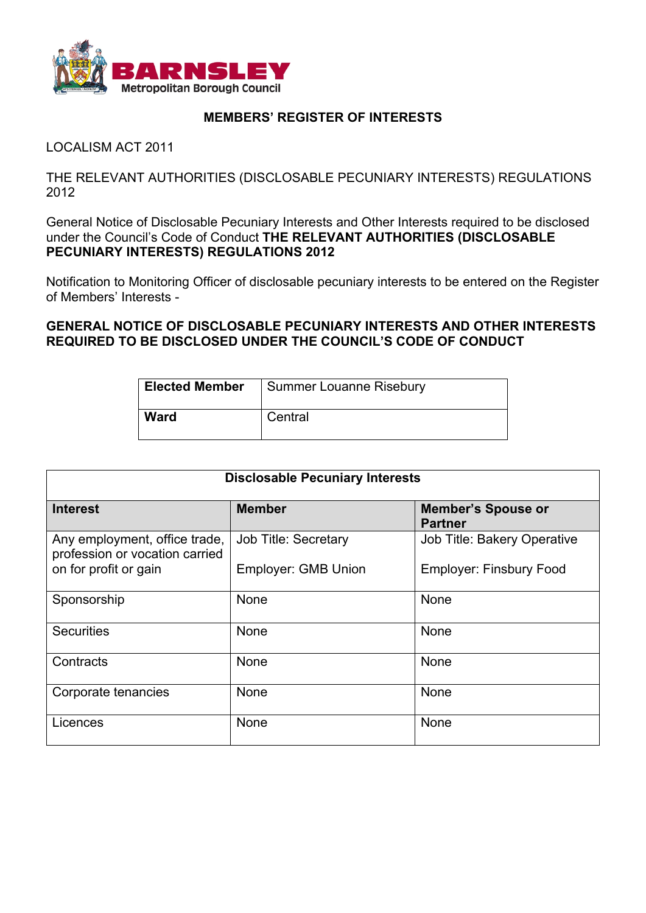

## **MEMBERS' REGISTER OF INTERESTS**

LOCALISM ACT 2011

THE RELEVANT AUTHORITIES (DISCLOSABLE PECUNIARY INTERESTS) REGULATIONS 2012

General Notice of Disclosable Pecuniary Interests and Other Interests required to be disclosed under the Council's Code of Conduct **THE RELEVANT AUTHORITIES (DISCLOSABLE PECUNIARY INTERESTS) REGULATIONS 2012**

Notification to Monitoring Officer of disclosable pecuniary interests to be entered on the Register of Members' Interests -

**GENERAL NOTICE OF DISCLOSABLE PECUNIARY INTERESTS AND OTHER INTERESTS REQUIRED TO BE DISCLOSED UNDER THE COUNCIL'S CODE OF CONDUCT**

| <b>Elected Member</b> | Summer Louanne Risebury |
|-----------------------|-------------------------|
| <b>Ward</b>           | Central                 |

| <b>Disclosable Pecuniary Interests</b>                          |                             |                                             |  |
|-----------------------------------------------------------------|-----------------------------|---------------------------------------------|--|
| <b>Interest</b>                                                 | <b>Member</b>               | <b>Member's Spouse or</b><br><b>Partner</b> |  |
| Any employment, office trade,<br>profession or vocation carried | <b>Job Title: Secretary</b> | <b>Job Title: Bakery Operative</b>          |  |
| on for profit or gain                                           | <b>Employer: GMB Union</b>  | <b>Employer: Finsbury Food</b>              |  |
| Sponsorship                                                     | None                        | None                                        |  |
| <b>Securities</b>                                               | <b>None</b>                 | None                                        |  |
| Contracts                                                       | None                        | None                                        |  |
| Corporate tenancies                                             | <b>None</b>                 | None                                        |  |
| Licences                                                        | None                        | None                                        |  |